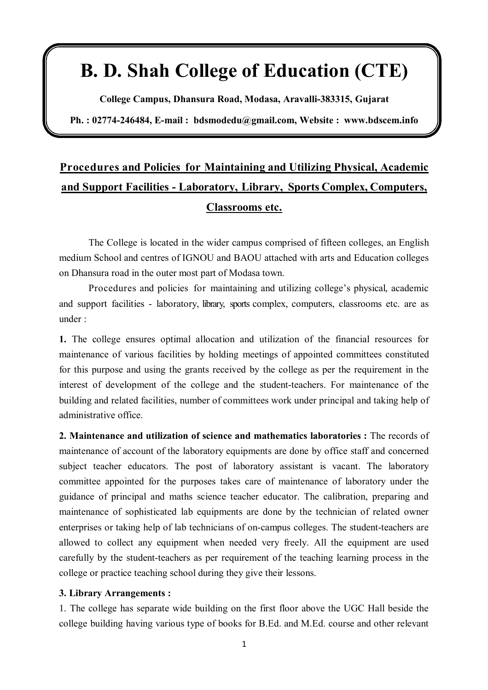## **B. D. Shah College of Education (CTE)**

**College Campus, Dhansura Road, Modasa, Aravalli-383315, Gujarat**

**Ph. : 02774-246484, E-mail : bdsmodedu@gmail.com, Website : www.bdscem.info**

## **Procedures and Policies for Maintaining and Utilizing Physical, Academic and Support Facilities - Laboratory, Library, Sports Complex, Computers, Classrooms etc.**

The College is located in the wider campus comprised of fifteen colleges, an English medium School and centres of IGNOU and BAOU attached with arts and Education colleges on Dhansura road in the outer most part of Modasa town.

Procedures and policies for maintaining and utilizing college's physical, academic and support facilities - laboratory, library, sports complex, computers, classrooms etc. are as under :

**1.** The college ensures optimal allocation and utilization of the financial resources for maintenance of various facilities by holding meetings of appointed committees constituted for this purpose and using the grants received by the college as per the requirement in the interest of development of the college and the student-teachers. For maintenance of the building and related facilities, number of committees work under principal and taking help of administrative office.

**2. Maintenance and utilization of science and mathematics laboratories :** The records of maintenance of account of the laboratory equipments are done by office staff and concerned subject teacher educators. The post of laboratory assistant is vacant. The laboratory committee appointed for the purposes takes care of maintenance of laboratory under the guidance of principal and maths science teacher educator. The calibration, preparing and maintenance of sophisticated lab equipments are done by the technician of related owner enterprises or taking help of lab technicians of on-campus colleges. The student-teachers are allowed to collect any equipment when needed very freely. All the equipment are used carefully by the student-teachers as per requirement of the teaching learning process in the college or practice teaching school during they give their lessons.

## **3. Library Arrangements :**

1. The college has separate wide building on the first floor above the UGC Hall beside the college building having various type of books for B.Ed. and M.Ed. course and other relevant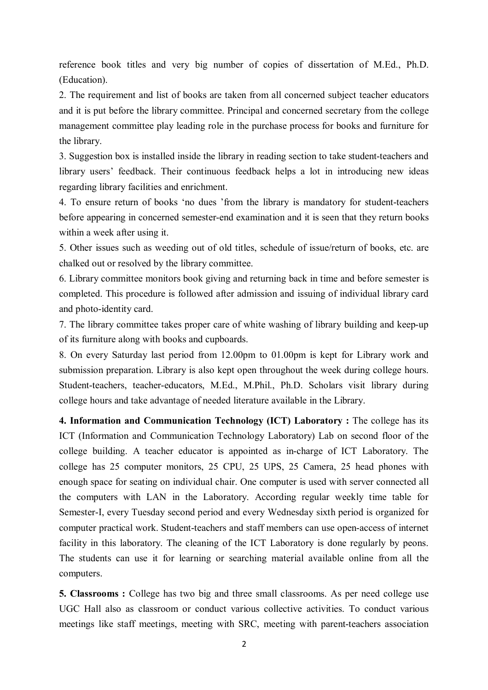reference book titles and very big number of copies of dissertation of M.Ed., Ph.D. (Education).

2. The requirement and list of books are taken from all concerned subject teacher educators and it is put before the library committee. Principal and concerned secretary from the college management committee play leading role in the purchase process for books and furniture for the library.

3. Suggestion box is installed inside the library in reading section to take student-teachers and library users' feedback. Their continuous feedback helps a lot in introducing new ideas regarding library facilities and enrichment.

4. To ensure return of books 'no dues 'from the library is mandatory for student-teachers before appearing in concerned semester-end examination and it is seen that they return books within a week after using it.

5. Other issues such as weeding out of old titles, schedule of issue/return of books, etc. are chalked out or resolved by the library committee.

6. Library committee monitors book giving and returning back in time and before semester is completed. This procedure is followed after admission and issuing of individual library card and photo-identity card.

7. The library committee takes proper care of white washing of library building and keep-up of its furniture along with books and cupboards.

8. On every Saturday last period from 12.00pm to 01.00pm is kept for Library work and submission preparation. Library is also kept open throughout the week during college hours. Student-teachers, teacher-educators, M.Ed., M.Phil., Ph.D. Scholars visit library during college hours and take advantage of needed literature available in the Library.

**4. Information and Communication Technology (ICT) Laboratory :** The college has its ICT (Information and Communication Technology Laboratory) Lab on second floor of the college building. A teacher educator is appointed as in-charge of ICT Laboratory. The college has 25 computer monitors, 25 CPU, 25 UPS, 25 Camera, 25 head phones with enough space for seating on individual chair. One computer is used with server connected all the computers with LAN in the Laboratory. According regular weekly time table for Semester-I, every Tuesday second period and every Wednesday sixth period is organized for computer practical work. Student-teachers and staff members can use open-access of internet facility in this laboratory. The cleaning of the ICT Laboratory is done regularly by peons. The students can use it for learning or searching material available online from all the computers.

**5. Classrooms :** College has two big and three small classrooms. As per need college use UGC Hall also as classroom or conduct various collective activities. To conduct various meetings like staff meetings, meeting with SRC, meeting with parent-teachers association